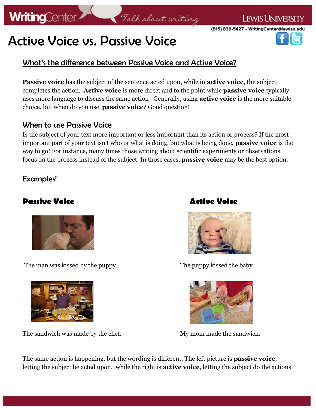

# Active Voice vs. Passive Voice

### What's the difference between Passive Voice and Active Voice?

**Passive voice** has the subject of the sentence acted upon, while in **active voice**, the subject completes the action. **Active voice** is more direct and to the point while **passive voice** typically uses more language to discuss the same action . Generally, using **active voice** is the more suitable choice, but when do you use **passive voice**? Good question!

Talk about writing

#### When to use Passive Voice

Is the subject of your text more important or less important than its action or process? If the most important part of your text isn't who or what is doing, but what is being done, **passive voice** is the way to go! For instance, many times those writing about scientific experiments or observations focus on the process instead of the subject. In those cases, **passive voice** may be the best option.

#### Examples!

#### **Passive Voice Active Voice**



The man was kissed by the puppy. The puppy kissed the baby.



The sandwich was made by the chef. My mom made the sandwich.





The same action is happening, but the wording is different. The left picture is **passive voice**, letting the subject be acted upon, while the right is **active voice**, letting the subject do the actions.